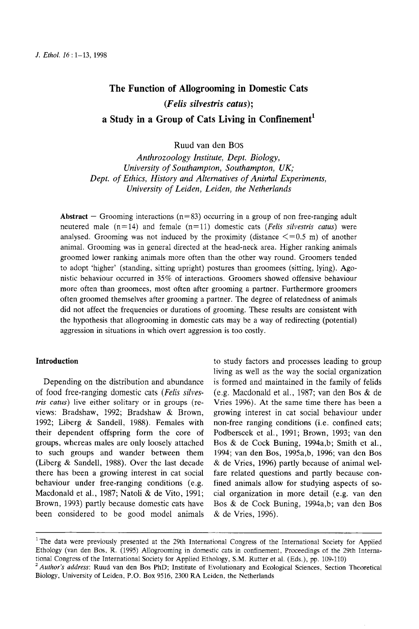# **The Function of Allogrooming in Domestic Cats**  *(Felis silvestris catus)*; a Study in a Group of Cats Living in Confinement<sup>1</sup>

Ruud van den Bos

*Anthrozoology Institute, Dept. Biology, University of Southampton, Southampton, UK; Dept. of Ethics, History and Alternatives of Animal Experiments, University of Leiden, Leiden, the Netherlands* 

**Abstract** –- Grooming interactions  $(n=83)$  occurring in a group of non free-ranging adult neutered male  $(n=14)$  and female  $(n=11)$  domestic cats *(Felis silvestris catus)* were analysed. Grooming was not induced by the proximity (distance  $\leq$  =0.5 m) of another animal. Grooming was in general directed at the head-neck area. Higher ranking animals groomed lower ranking animals more often than the other way round. Groomers tended to adopt 'higher' (standing, sitting upright) postures than groomees (sitting, lying). Agonistic behaviour occurred in 35% of interactions. Groomers showed offensive behaviour more often than groomees, most often after grooming a partner. Furthermore groomers often groomed themselves after grooming a partner. The degree of relatedness of animals did not affect the frequencies or durations of grooming. These results are consistent with the hypothesis that allogrooming in domestic cats may be a way of redirecting (potential) aggression in situations in which overt aggression is too costly.

# **Introduction**

Depending on the distribution and abundance of food free-ranging domestic cats (Felis silves*tris catus)* live either solitary or in groups (reviews: Bradshaw, 1992; Bradshaw & Brown, 1992; Liberg & Sandeil, 1988). Females with their dependent offspring form the core of groups, whereas males are only loosely attached to such groups and wander between them (Liberg & Sandell, 1988). Over the last decade there has been a growing interest in cat social behaviour under free-ranging conditions (e.g. Macdonald et al., 1987; Natoli & de Vito, 1991; Brown, 1993) partly because domestic cats have been considered to be good model animals

to study factors and processes leading to group living as well as the way the social organization is formed and maintained in the family of felids (e.g. Macdonald et al., 1987; van den Bos & de Vries 1996). At the same time there has been a growing interest in cat social behaviour under non-free ranging conditions (i.e. confined cats; Podberscek et al., 1991; Brown, 1993; van den Bos & de Cock Buning, 1994a,b; Smith et al., 1994; van den Bos, 1995a,b, 1996; van den Bos & de Vries, 1996) partly because of animal welfare related questions and partly because confined animals allow for studying aspects of social organization in more detail (e.g. van den Bos & de Cock Buning, 1994a,b; van den Bos & de Vries, 1996).

<sup>&</sup>lt;sup>1</sup> The data were previously presented at the 29th International Congress of the International Society for Applied Ethology (van den Bos, R. (1995) Allogrooming in domestic cats in confinement, Proceedings of the 29th International Congress of the International Society for Applied Ethology, S.M. Rutter et al. (Eds.), pp. 109-110)

*<sup>2</sup> Author's address:* Ruud van den Bos PhD; Institute of Evolutionary and Ecological Sciences, Section Theoretical Biology, University of Leiden, P.O. Box 9516, 2300 RA Leiden, the Netherlands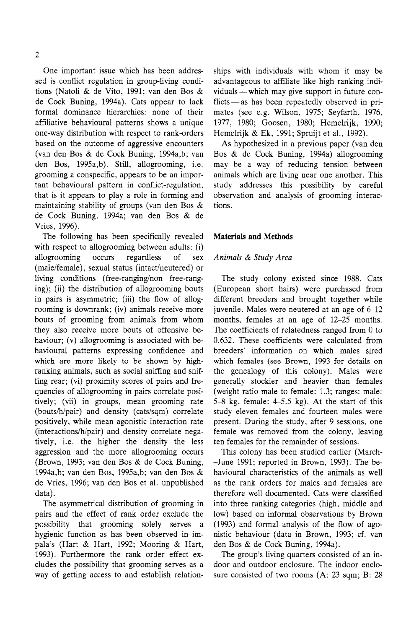One important issue which has been addressed is conflict regulation in group-living conditions (Natoli & de Vito, 1991; van den Bos & de Cock Buning, 1994a). Cats appear to lack formal dominance hierarchies: none of their affiliative behavioural patterns shows a unique one-way distribution with respect to rank-orders based on the outcome of aggressive encounters (van den Bos & de Cock Buning, 1994a,b; van den Bos, 1995a,b). Still, allogrooming, i.e. grooming a conspecific, appears to be an important behavioural pattern in conflict-regulation, that is it appears to play a role in forming and maintaining stability of groups (van den Bos & de Cock Buning, 1994a; van den Bos & de Vries, 1996).

The following has been specifically revealed with respect to allogrooming between adults: (i) allogrooming occurs regardless of sex (male/female), sexual status (intact/neutered) or living conditions (free-ranging/non free-ranging); (ii) the distribution of allogrooming bouts in pairs is asymmetric; (iii) the flow of allogrooming is downrank; (iv) animals receive more bouts of grooming from animals from whom they also receive more bouts of offensive behaviour; (v) allogrooming is associated with behavioural patterns expressing confidence and which are more likely to be shown by highranking animals, such as social sniffing and sniffing rear; (vi) proximity scores of pairs and frequencies of allogrooming in pairs correlate positively; (vii) in groups, mean grooming rate (bouts/h/pair) and density (cats/sqm) correlate positively, while mean agonistic interaction rate (interactions/h/pair) and density correlate negatively, i.e. the higher the density the less aggression and the more allogrooming occurs (Brown, 1993; van den Bos & de Cock Buning, 1994a,b; van den Bos, 1995a,b; van den Bos & de Vries, 1996; van den Bos et al. unpublished data).

The asymmetrical distribution of grooming in pairs and the effect of rank order exclude the possibility that grooming solely serves a hygienic function as has been observed in impala's (Hart & Hart, 1992; Mooring & Hart, 1993). Furthermore the rank order effect excludes the possibility that grooming serves as a way of getting access to and establish relationships with individuals with whom it may be advantageous to affiliate like high ranking individuals — which may give support in future conflicts — as has been repeatedly observed in primates (see e.g. Wilson, 1975; Seyfarth, 1976, 1977, 1980; Goosen, 1980; Hemelrijk, 1990; Hemelrijk & Ek, 1991; Spruijt et al., 1992).

As hypothesized in a previous paper (van den Bos & de Cock Buning, 1994a) allogrooming may be a way of reducing tension between animals which are living near one another. This study addresses this possibility by careful observation and analysis of grooming interactions.

## **Materials and Methods**

## *Animals & Study Area*

The study colony existed since 1988. Cats (European short hairs) were purchased from different breeders and brought together while juvenile. Males were neutered at an age of 6-12 months, females at an age of 12-25 months. The coefficients of relatedness ranged from 0 to 0.632. These coefficients were calculated from breeders' information on which males sired which females (see Brown, 1993 for details on the genealogy of this colony). Males were generally stockier and heavier than females (weight ratio male to female: 1.3; ranges: male: 5-8 kg, female: 4-5.5 kg). At the start of this study eleven females and fourteen males were present. During the study, after 9 sessions, one female was removed from the colony, leaving ten females for the remainder of sessions.

This colony has been studied earlier (March- -June 1991; reported in Brown, 1993). The behavioural characteristics of the animals as well as the rank orders for males and females are therefore well documented. Cats were classified into three ranking categories (high, middle and low) based on informal observations by Brown (1993) and formal analysis of the flow of agonistic behaviour (data in Brown, 1993; cf. van den Bos & de Cock Buning, 1994a).

The group's living quarters consisted of an indoor and outdoor enclosure. The indoor enclosure consisted of two rooms (A: 23 sqm; B: 28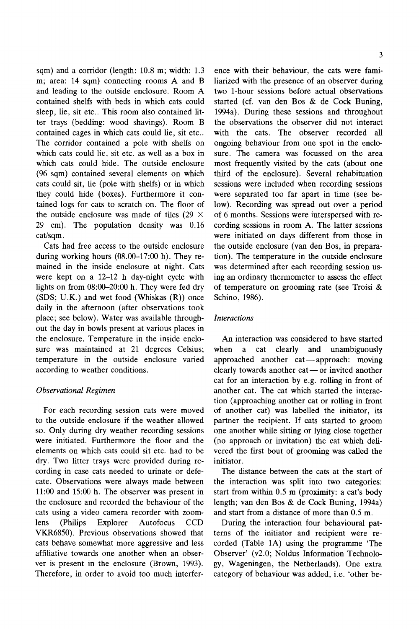sqm) and a corridor (length: 10.8 m; width: 1.3 m; area: 14 sqm) connecting rooms A and B and leading to the outside enclosure. Room A contained shelfs with beds in which cats could sleep, lie, sit etc.. This room also contained litter trays (bedding: wood shavings). Room B contained cages in which cats could lie, sit etc.. The corridor contained a pole with shelfs on which cats could lie, sit etc. as well as a box in which cats could hide. The outside enclosure (96 sqm) contained several elements on which cats could sit, lie (pole with shelfs) or in which they could hide (boxes). Furthermore it contained logs for cats to scratch on. The floor of the outside enclosure was made of tiles (29  $\times$ 29 cm). The population density was 0.16 cat/sqm.

Cats had free access to the outside enclosure during working hours  $(08.00-17:00)$  h). They remained in the inside enclosure at night. Cats were kept on a 12-12 h day-night cycle with lights on from  $08:00-20:00$  h. They were fed dry (SDS; U.K.) and wet food (Whiskas (R)) once daily in the afternoon (after observations took place; see below). Water was available throughout the day in bowls present at various places in the enclosure. Temperature in the inside enclosure was maintained at 21 degrees Celsius; temperature in the outside enclosure varied according to weather conditions.

# *Observational Regimen*

For each recording session cats were moved to the outside enclosure if the weather allowed so. Only during dry weather recording sessions were initiated. Furthermore the floor and the elements on which cats could sit etc. had to be dry. Two litter trays were provided during recording in case cats needed to urinate or defecate. Observations were always made between 11:00 and 15:00 h. The observer was present in the enclosure and recorded the behaviour of the cats using a video camera recorder with zoomlens (Philips Explorer Autofocus CCD VKR6850). Previous observations showed that cats behave somewhat more aggressive and less affiliative towards one another when an observer is present in the enclosure (Brown, 1993). Therefore, in order to avoid too much interference with their behaviour, the cats were familiarized with the presence of an observer during two 1-hour sessions before actual observations started (cf. van den Bos & de Cock Buning, 1994a). During these sessions and throughout the observations the observer did not interact with the cats. The observer recorded all ongoing behaviour from one spot in the enclosure. The camera was focussed on the area most frequently visited by the cats (about one third of the enclosure). Several rehabituation sessions were included when recording sessions were separated too far apart in time (see below). Recording was spread out over a period of 6 months. Sessions were interspersed with recording sessions in room A. The latter sessions were initiated on days different from those in the outside enclosure (van den Bos, in preparation). The temperature in the outside enclosure was determined after each recording session using an ordinary thermometer to assess the effect of temperature on grooming rate (see Troisi & Schino, 1986).

# *Interactions*

An interaction was considered to have started when a cat clearly and unambiguously approached another  $cat \rightarrow$  approach: moving clearly towards another cat--or invited another cat for an interaction by e.g. rolling in front of another cat. The cat which started the interaction (approaching another cat or rolling in front of another cat) was labelled the initiator, its partner the recipient. If cats started to groom one another while sitting or lying close together (no approach or invitation) the cat which delivered the first bout of grooming was called the initiator.

The distance between the cats at the start of the interaction was split into two categories: start from within 0.5 m (proximity: a cat's body length; van den Bos & de Cock Buning, 1994a) and start from a distance of more than 0.5 m.

During the interaction four behavioural pattems of the initiator and recipient were recorded (Table 1A) using the programme 'The Observer' (v2.0; Noldus Information Technology, Wageningen, the Netherlands). One extra category of behaviour was added, i.e. 'other be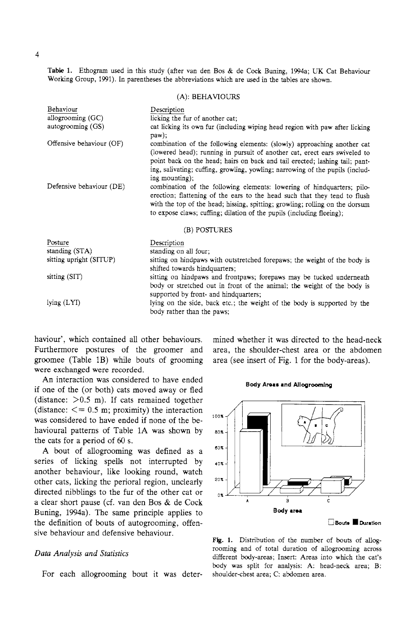Table 1. Ethogram used in this study (after van den Bos & de Cock Buning, 1994a; UK Cat Behaviour Working Group, 1991). In parentheses the abbreviations which are used in the tables are shown.

(A): BEHAVIOURS

| Behaviour                | Description                                                                                                                                                                                                                                                                                                                            |  |  |
|--------------------------|----------------------------------------------------------------------------------------------------------------------------------------------------------------------------------------------------------------------------------------------------------------------------------------------------------------------------------------|--|--|
| allogrooming (GC)        | licking the fur of another cat;                                                                                                                                                                                                                                                                                                        |  |  |
| autogrooming (GS)        | cat licking its own fur (including wiping head region with paw after licking<br>$paw$ );                                                                                                                                                                                                                                               |  |  |
| Offensive behaviour (OF) | combination of the following elements: (slowly) approaching another cat<br>(lowered head); running in pursuit of another cat, erect ears swiveled to<br>point back on the head; hairs on back and tail erected; lashing tail; pant-<br>ing, salivating; cuffing, growling, yowling; narrowing of the pupils (includ-<br>ing mounting); |  |  |
| Defensive behaviour (DE) | combination of the following elements: lowering of hindquarters; pilo-<br>erection; flattening of the ears to the head such that they tend to flush<br>with the top of the head; hissing, spitting; growling; rolling on the dorsum<br>to expose claws; cuffing; dilation of the pupils (including fleeing);                           |  |  |
|                          | (B) POSTURES                                                                                                                                                                                                                                                                                                                           |  |  |
| Posture                  | Description                                                                                                                                                                                                                                                                                                                            |  |  |
| standing (STA)           | standing on all four;                                                                                                                                                                                                                                                                                                                  |  |  |
| sitting upright (SITUP)  | sitting on hindpaws with outstretched forepaws; the weight of the body is                                                                                                                                                                                                                                                              |  |  |
|                          | shifted towards hindquarters;                                                                                                                                                                                                                                                                                                          |  |  |
| sitting (SIT)            | sitting on hindpaws and frontpaws; forepaws may be tucked underneath                                                                                                                                                                                                                                                                   |  |  |
|                          | body or stretched out in front of the animal; the weight of the body is<br>supported by front- and hindquarters;                                                                                                                                                                                                                       |  |  |
| lying (LYI)              | lying on the side, back etc.; the weight of the body is supported by the<br>body rather than the paws;                                                                                                                                                                                                                                 |  |  |

haviour', which contained all other behaviours. Furthermore postures of the groomer and groomee (Table 1B) while bouts of grooming were exchanged were recorded.

An interaction was considered to have ended if one of the (or both) cats moved away or fled (distance:  $>0.5$  m). If cats remained together (distance:  $\leq$  = 0.5 m; proximity) the interaction was considered to have ended if none of the behavioural patterns of Table 1A was shown by the cats for a period of 60 s.

A bout of allogrooming was defined as a series of licking spells not interrupted by another behaviour, like looking round, watch other cats, licking the perioral region, unclearly directed nibblings to the fur of the other cat or a clear short pause (cf. van den Bos & de Cock Buning, 1994a). The same principle applies to the definition of bouts of autogrooming, offensive behaviour and defensive behaviour.

# *Data Analysis and Statistics*

For each allogrooming bout it was deter-

mined whether it was directed to the head-neck area, the shoulder-chest area or the abdomen area (see insert of Fig. 1 for the body-areas).

#### **Body Are== =nd AJlogroondng**



□Bouts ■ Duration

Fig. 1. Distribution of the number of bouts of allogrooming and of total duration of allogrooming across different body-areas; Insert: Areas into which the cat's body was split for analysis: A: head-neck area; B: shoulder-chest area; C: abdomen area.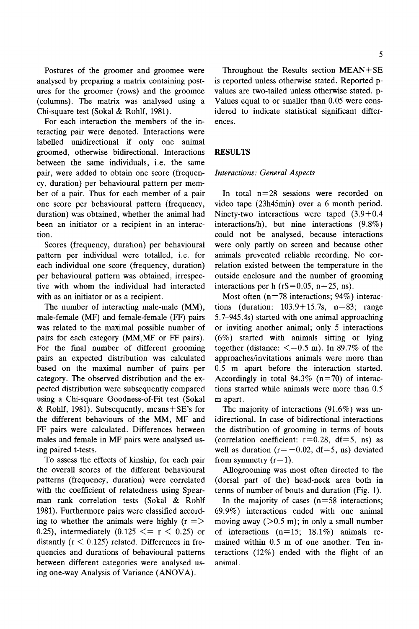Postures of the groomer and groomee were analysed by preparing a matrix containing postures for the groomer (rows) and the groomee (columns). The matrix was analysed using a Chi-square test (Sokal & Rohlf, 1981).

For each interaction the members of the interacting pair were denoted. Interactions were labelled unidirectional if only one animal groomed, otherwise bidirectional. Interactions between the same individuals, i.e. the same pair, were added to obtain one score (frequency, duration) per behavioural pattern per member of a pair. Thus for each member of a pair one score per behavioural pattern (frequency, duration) was obtained, whether the animal had been an initiator or a recipient in an interaction.

Scores (frequency, duration) per behavioural pattern per individual were totalled, i.e. for each individual one score (frequency, duration) per behavioural pattern was obtained, irrespective with whom the individual had interacted with as an initiator or as a recipient.

The number of interacting male-male (MM), male-female (MF) and female-female (FF) pairs was related to the maximal possible number of pairs for each category (MM,MF or FF pairs). For the final number of different grooming pairs an expected distribution was calculated based on the maximal number of pairs per category. The observed distribution and the expected distribution were subsequently compared using a Chi-square Goodness-of-Fit test (Sokal & Rohlf, 1981). Subsequently, means  $+$  SE's for the different behaviours of the MM, MF and FF pairs were calculated. Differences between males and female in MF pairs were analysed using paired t-tests.

To assess the effects of kinship, for each pair the overall scores of the different behavioural patterns (frequency, duration) were correlated with the coefficient of relatedness using Spearman rank correlation tests (Sokal & Rohlf 1981). Furthermore pairs were classified according to whether the animals were highly  $(r = >$ 0.25), intermediately  $(0.125 \le r \le 0.25)$  or distantly  $(r < 0.125)$  related. Differences in frequencies and durations of behavioural patterns between different categories were analysed using one-way Analysis of Variance (ANOVA).

Throughout the Results section MEAN+SE is reported unless otherwise stated. Reported pvalues are two-tailed unless otherwise stated, p-Values equal to or smaller than 0.05 were considered to indicate statistical significant differences.

# *RF~ULTS*

# *Interactions: General Aspects*

In total  $n=28$  sessions were recorded on video tape (23h45min) over a 6 month period. Ninety-two interactions were taped (3.9+0.4 interactions/h), but nine interactions (9.8%) could not be analysed, because interactions were only partly on screen and because other animals prevented reliable recording. No correlation existed between the temperature in the outside enclosure and the number of grooming interactions per h ( $rs=0.05$ ,  $n=25$ , ns).

Most often  $(n=78$  interactions; 94%) interactions (duration:  $103.9+15.7s$ ,  $n=83$ ; range 5.7-945.4s) started with one animal approaching or inviting another animal; only 5 interactions (6%) started with animals sitting or lying together (distance:  $\leq$  =0.5 m). In 89.7% of the approaches/invitations animals were more than 0.5 m apart before the interaction started. Accordingly in total  $84.3\%$  (n=70) of interactions started while animals were more than 0.5 m apart.

The majority of interactions (91.6%) was unidirectional. In case of bidirectional interactions the distribution of grooming in terms of bouts (correlation coefficient:  $r=0.28$ , df=5, ns) as well as duration ( $r=-0.02$ , df=5, ns) deviated from symmetry  $(r=1)$ .

Allogrooming was most often directed to the (dorsal part of the) head-neck area both in terms of number of bouts and duration (Fig. 1).

In the majority of cases  $(n=58$  interactions; 69.9%) interactions ended with one animal moving away ( $>0.5$  m); in only a small number of interactions  $(n=15; 18.1\%)$  animals remained within 0.5 m of one another. Ten interactions (12%) ended with the flight of an animal.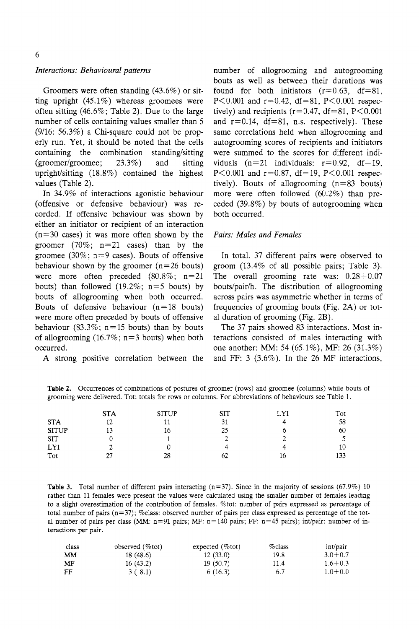# *Interactions: Behavio ural patterns*

Groomers were often standing (43.6%) or sitting upright (45.1%) whereas groomees were often sitting (46.6%; Table 2). Due to the large number of cells containing values smaller than 5 (9/16: 56.3%) a Chi-square could not be properly run. Yet, it should be noted that the cells containing the combination standing/sitting (groomer/groomee; 23.3%) and sitting uptight/sitting (18.8%) contained the highest values (Table 2).

In 34.9% of interactions agonistic behaviour (offensive or defensive behaviour) was recorded. If offensive behaviour was shown by either an initiator or recipient of an interaction  $(n=30 \text{ cases})$  it was more often shown by the groomer  $(70\%; n=21 \text{ cases})$  than by the groomee (30%;  $n=9$  cases). Bouts of offensive behaviour shown by the groomer  $(n=26$  bouts) were more often preceded  $(80.8\%; n=21)$ bouts) than followed (19.2%;  $n=5$  bouts) by bouts of allogrooming when both occurred. Bouts of defensive behaviour  $(n=18$  bouts) were more often preceded by bouts of offensive behaviour (83.3%;  $n=15$  bouts) than by bouts of allogrooming  $(16.7\%; n=3$  bouts) when both occurred.

A strong positive correlation between the

number of allogrooming and autogrooming bouts as well as between their durations was found for both initiators  $(r=0.63, df=81,$ P $< 0.001$  and r=0.42, df=81, P $< 0.001$  respectively) and recipients ( $r=0.47$ , df=81, P<0.001 and  $r=0.14$ ,  $df=81$ , n.s. respectively). These same correlations held when allogrooming and autogrooming scores of recipients and initiators were summed to the scores for different individuals  $(n=21$  individuals:  $r=0.92$ ,  $df=19$ , P $< 0.001$  and r=0.87, df=19, P $< 0.001$  respectively). Bouts of allogrooming  $(n=83$  bouts) more were often followed (60.2%) than preceded (39.8%) by bouts of autogrooming when both occurred.

## *Pairs: Males and Females*

In total, 37 different pairs were observed to groom (13.4% of all possible pairs; Table 3). The overall grooming rate was: 0.28+0.07 bouts/pair/h. The distribution of allogrooming across pairs was asymmetric whether in terms of frequencies of grooming bouts (Fig. 2A) or total duration of grooming (Fig. 2B).

The 37 pairs showed 83 interactions. Most interactions consisted of males interacting with one another: MM: 54 (65.1%), MF: 26 (31.3%) and FF: 3 (3.6%). In the 26 MF interactions,

**Table** 2. Occurrences of combinations of postures of groomer (rows) and groomee (columns) while bouts of grooming were delivered. Tot: totals for rows or columns. For abbreviations of behaviours see Table 1.

| Tot |
|-----|
| 58  |
| 60  |
|     |
| 10  |
| 133 |
|     |

**Table 3.** Total number of different pairs interacting  $(n=37)$ . Since in the majority of sessions (67.9%) 10 rather than 11 females were present the values were calculated using the smaller number of females leading to a slight overestimation of the contribution of females. %tot: number of pairs expressed as percentage of total number of pairs (n=37); %class: observed number of pairs per class expressed as percentage of the total number of pairs per class (MM:  $n=91$  pairs; MF:  $n=140$  pairs; FF:  $n=45$  pairs); int/pair: number of interactions per pair.

| class | observed $(\%$ tot) | expected $(\%$ tot) | $\%$ class | int/pair    |
|-------|---------------------|---------------------|------------|-------------|
| MМ    | 18(48.6)            | 12(33.0)            | 19.8       | $3.0 + 0.7$ |
| MF    | 16(43.2)            | 19(50.7)            | 11.4       | $1.6 + 0.3$ |
| FF    | 3(8.1)              | 6(16.3)             | 6.7        | $1.0 + 0.0$ |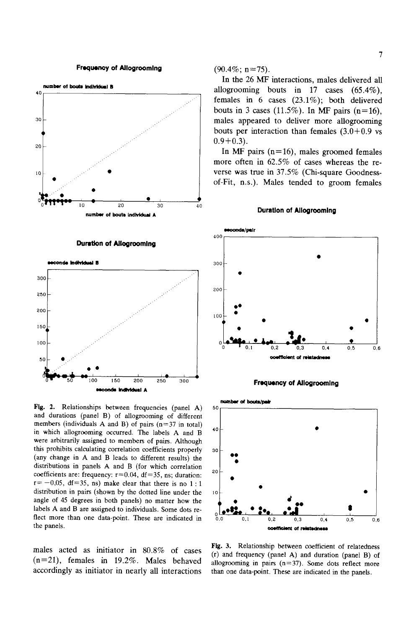#### **Frequency of Allogrooming**



#### **Duration of Allogrooming**



Fig. 2. Relationships between frequencies (panel A) 50 and durations (panel B) of allogrooming of different members (individuals A and B) of pairs  $(n=37$  in total) in which allogrooming occurred. The labels A and B  $40$ were arbitrarily assigned to members of pairs. Although this prohibits calculating correlation coefficients properly 30 (any change in A and B leads to different results) the distributions in panels A and B (for which correlation  $20$  coefficients are: frequency:  $r=0.04$ ,  $df=35$ , ns; duration:  $r=-0.05$ , df=35, ns) make clear that there is no 1:1 distribution in pairs (shown by the dotted line under the  $\frac{10}{10}$ angle of 45 degrees in both panels) no matter how the labels A and B are assigned to individuals. Some dots reflect more than one data-point. These are indicated in  $0.0$ the panels.

males acted as initiator in 80.8% of cases (n=21), females in 19.2%. Males behaved accordingly as initiator in nearly all interactions  $(90.4\%; n=75)$ .

In the 26 MF interactions, males delivered all allogrooming bouts in 17 cases (65.4%), females in 6 cases (23.1%); both delivered bouts in 3 cases (11.5%). In MF pairs (n=16), males appeared to deliver more allogrooming bouts per interaction than females  $(3.0+0.9 \text{ vs } 10^{-10})$  $0.9+0.3$ .

In MF pairs  $(n=16)$ , males groomed females more often in 62.5% of cases whereas the reverse was true in 37.5% (Chi-square Goodnessof-Fit, n.s.). Males tended to groom females

#### **Duration of AIIogroomlng**







Fig, 3, Relationship between coefficient of relatedness (r) and frequency (panel A) and duration (panel B) of allogrooming in pairs  $(n=37)$ . Some dots reflect more than one data-point. These are indicated in the panels.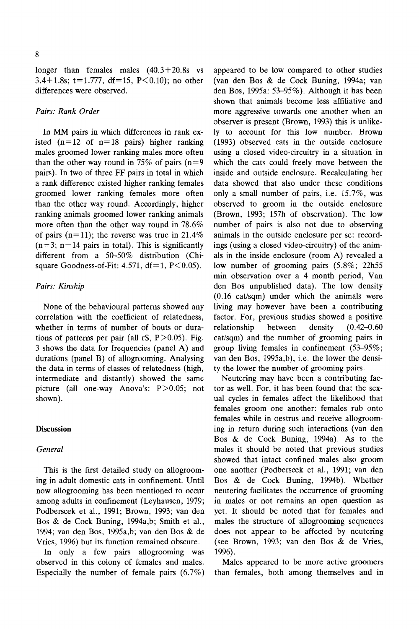longer than females males (40.3+20.8s vs 3.4+1.8s;  $t=1.777$ , df=15, P<0.10); no other differences were observed.

# *Pairs: Rank Order*

In MM pairs in which differences in rank existed  $(n=12 \text{ of } n=18 \text{ pairs})$  higher ranking males groomed lower ranking males more often than the other way round in 75% of pairs  $(n=9)$ pairs). In two of three FF pairs in total in which a rank difference existed higher ranking females groomed lower ranking females more often than the other way round. Accordingly, higher ranking animals groomed lower ranking animals more often than the other way round in 78.6% of pairs ( $n=11$ ); the reverse was true in 21.4%  $(n=3; n=14$  pairs in total). This is significantly different from a  $50-50\%$  distribution (Chisquare Goodness-of-Fit:  $4.571$ ,  $df=1$ ,  $P<0.05$ ).

# *Pairs: Kinship*

None of the behavioural patterns showed any correlation with the coefficient of relatedness, whether in terms of number of bouts or durations of patterns per pair (all  $rS$ ,  $P > 0.05$ ). Fig. 3 shows the data for frequencies (panel A) and durations (panel B) of allogrooming. Analysing the data in terms of classes of relatedness (high, intermediate and distantly) showed the same picture (all one-way Anova's:  $P > 0.05$ ; not shown).

# **Discussion**

## *General*

This is the first detailed study on allogrooming in adult domestic cats in confinement. Until now allogrooming has been mentioned to occur among adults in confinement (Leyhausen, 1979; Podberscek et al., 1991; Brown, 1993; van den Bos & de Cock Buning, 1994a,b; Smith et al., 1994; van den Bos, 1995a,b; van den Bos & de Vries, 1996) but its function remained obscure.

In only a few pairs allogrooming was observed in this colony of females and males. Especially the number of female pairs (6.7%) appeared to be low compared to other studies (van den Bos & de Cock Buning, 1994a; van den Bos, 1995a: 53-95%). Although it has been shown that animals become less affiliative and more aggressive towards one another when an observer is present (Brown, 1993) this is unlikely to account for this low number. Brown (1993) observed cats in the outside enclosure using a closed video-circuitry in a situation in which the cats could freely move between the inside and outside enclosure. Recalculating her data showed that also under these conditions only a small number of pairs, i.e. 15.7%, was observed to groom in the outside enclosure (Brown, 1993; 157h of observation). The low number of pairs is also not due to observing animals in the outside enclosure per se: recordings (using a closed video-circuitry) of the animals in the inside enclosure (room A) revealed a low number of grooming pairs (5.8%; 22h55 min observation over a 4 month period, Van den Bos unpublished data). The low density (0.16 cat/sqm) under which the animals were living may however have been a contributing factor. For, previous studies showed a positive relationship between density  $(0.42-0.60)$ cat/sqm) and the number of grooming pairs in group living females in confinement  $(53-95\%;$ van den Bos, 1995a,b), i.e. the lower the density the lower the number of grooming pairs.

Neutering may have been a contributing factor as well. For, it has been found that the sexual cycles in females affect the likelihood that females groom one another: females rub onto females while in oestrus and receive allogrooming in return during such interactions (van den Bos & de Cock Buning, 1994a). As to the males it should be noted that previous studies showed that intact confined males also groom one another (Podberscek et al., 1991; van den Bos & de Cock Buning, 1994b). Whether neutering facilitates the occurrence of grooming in males or not remains an open question as yet. It should be noted that for females and males the structure of allogrooming sequences does not appear to be affected by neutering (see Brown, 1993; van den Bos & de Vries, 1996).

Males appeared to be more active groomers than females, both among themselves and in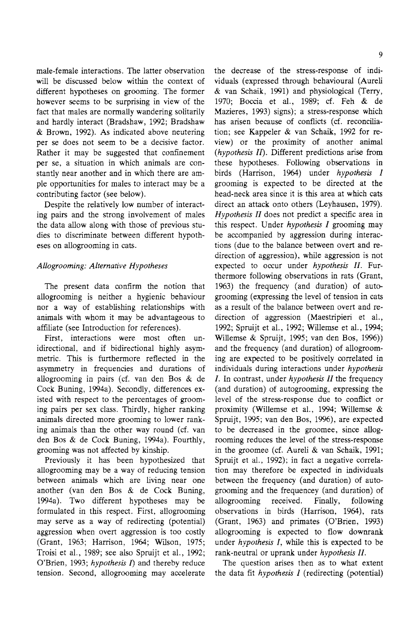male-female interactions. The latter observation will be discussed below within the context of different hypotheses on grooming. The former however seems to be surprising in view of the fact that males are normally wandering solitarily and hardly interact (Bradshaw, 1992; Bradshaw & Brown, 1992). As indicated above neutering per se does not seem to be a decisive factor. Rather it may be suggested that confinement per se, a situation in which animals are constantly near another and in which there are ample opportunities for males to interact may be a contributing factor (see below).

Despite the relatively low number of interacting pairs and the strong involvement of males the data allow along with those of previous studies to discriminate between different hypotheses on allogrooming in cats.

# *Allogrooming: Alternative Hypotheses*

The present data confirm the notion that allogrooming is neither a hygienic behaviour nor a way of establishing relationships with animals with whom it may be advantageous to affiliate (see Introduction for references).

First, interactions were most often unidirectional, and if bidirectional highly asymmetric. This is furthermore reflected in the asymmetry in frequencies and durations of aUogrooming in pairs (cf. van den Bos & de Cock Buning, 1994a). Secondly, differences existed with respect to the percentages of grooming pairs per sex class. Thirdly, higher ranking animals directed more grooming to lower ranking animals than the other way round (cf. van den Bos & de Cock Buning, 1994a). Fourthly, grooming was not affected by kinship.

Previously it has been hypothesized that allogrooming may be a way of reducing tension between animals which are living near one another (van den Bos & de Cock Buning, 1994a). Two different hypotheses may be formulated in this respect. First, allogrooming may serve as a way of redirecting (potential) aggression when overt aggression is too costly (Grant, 1963; Harrison, 1964; Wilson, 1975; Troisi et al., 1989; see also Spruijt et al., 1992; O'Brien, 1993; *hypothesis I*) and thereby reduce tension. Second, allogrooming may accelerate

the decrease of the stress-response of individuals (expressed through behavioural (Aureli & van Schaik, 1991) and physiological (Terry, 1970; Boccia et al., 1989; cf. Feh & de Mazieres, 1993) signs); a stress-response which has arisen because of conflicts (cf. reconciliation; see Kappeler & van Schaik, 1992 for review) or the proximity of another animal *(hypothesis II).* Different predictions arise from these hypotheses. Following observations in birds (Harrison, 1964) under *hypothesis I*  grooming is expected to be directed at the head-neck area since it is this area at which cats direct an attack onto others (Leyhausen, 1979). *Hypothesis II* does not predict a specific area in this respect. Under *hypothesis I* grooming may be accompanied by aggression during interactions (due to the balance between overt and redirection of aggression), while aggression is not expected to occur under *hypothesis II*. Furthermore following observations in rats (Grant, 1963) the frequency (and duration) of autogrooming (expressing the level of tension in cats as a result of the balance between overt and redirection of aggression (Maestripieri et al., 1992; Spruijt et al., 1992; Willemse et al., 1994; Willemse & Spruijt, 1995; van den Bos, 1996)) and the frequency (and duration) of allogrooming are expected to be positively correlated in individuals during interactions under *hypothesis*  I. In contrast, under *hypothesis II* the frequency (and duration) of autogrooming, expressing the level of the stress-response due to conflict or proximity (Willemse et al., 1994; Willemse & Spruijt, 1995; van den Bos, 1996), are expected to be decreased in the groomee, since allogrooming reduces the level of the stress-response in the groomee (cf. Aureli & van Schaik, 1991; Spruijt et al., 1992); in fact a negative correlation may therefore be expected in individuals between the frequency (and duration) of autogrooming and the ffequencey (and duration) of allogrooming received. Finally, following observations in birds (Harrison, 1964), rats (Grant, 1963) and primates (O'Brien, 1993) aIlogrooming is expected to flow downrank under *hypothesis I,* while this is expected to be rank-neutral or uprank under *hypothesis 11.* 

The question arises then as to what extent the data fit *hypothesis I* (redirecting (potential)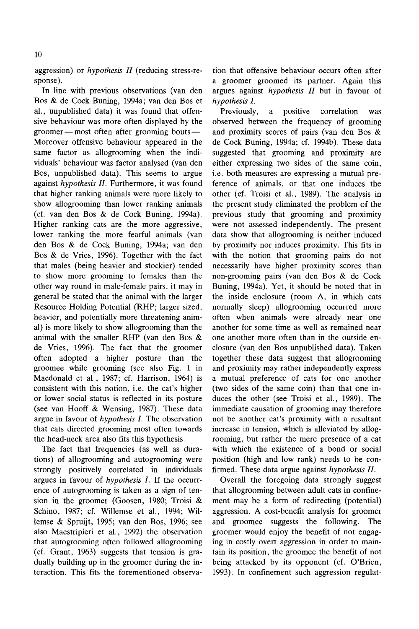In line with previous observations (van den Bos & de Cock Buning, 1994a; van den Bos et al., unpublished data) it was found that offensive behaviour was more often displayed by the groomer — most often after grooming bouts — Moreover offensive behaviour appeared in the same factor as allogrooming when the individuals' behaviour was factor analysed (van den Bos, unpublished data). This seems to argue against *hypothesis H.* Furthermore, it was found that higher ranking animals were more likely to show allogrooming than lower ranking animals (cf. van den Bos & de Cock Buning, 1994a). Higher ranking cats are the more aggressive, lower ranking the more fearful animals (van den Bos & de Cock Buning, 1994a; van den Bos & de Vries, 1996). Together with the fact that males (being heavier and stockier) tended to show more grooming to females than the other way round in male-female pairs, it may in general be stated that the animal with the larger Resource Holding Potential (RHP; larger sized, heavier, and potentially more threatening animal) is more likely to show allogrooming than the animal with the smaller RHP (van den Bos & de Vries, 1996). The fact that the groomer often adopted a higher posture than the groomee while grooming (see also Fig. 1 in Macdonald et al., 1987; cf. Harrison, 1964) is consistent with this notion, i.e. the cat's higher or lower social status is reflected in its posture (see van Hooff & Wensing, 1987). These data argue in favour of *hypothesis I. The* observation that cats directed grooming most often towards the head-neck area also fits this hypothesis.

The fact that frequencies (as well as durations) of allogrooming and autogrooming were strongly positively correlated in individuals argues in favour of *hypothesis* I. ff the occurrence of autogrooming is taken as a sign of tension in the groomer (Goosen, 1980; Troisi & Schino, 1987; cf. Willemse et al., 1994; Willemse & Spruijt, 1995; van den Bos, 1996; see also Maestripieri et al., 1992) the observation that autogrooming often followed allogrooming (cf. Grant, 1963) suggests that tension is gradually building up in the groomer during the interaction. This fits the forementioned observa-

tion that offensive behaviour occurs often after a groomer groomed its partner. Again this argues against *hypothesis H* but in favour of *hypothesis I.* 

Previously, a positive correlation was observed between the frequency of grooming and proximity scores of pairs (van den Bos & de Cock Buning, 1994a; cf. 1994b). These data suggested that grooming and proximity are either expressing two sides of the same coin, i.e. both measures are expressing a mutual preference of animals, or that one induces the other (cf. Troisi et al., 1989). The analysis in the present study eliminated the problem of the previous study that grooming and proximity were not assessed independently. The present data show that allogrooming is neither induced by proximity nor induces proximity. This fits in with the notion that grooming pairs do not necessarily have higher proximity scores than non-grooming pairs (van den Bos & de Cock Buning, 1994a). Yet, it should be noted that in the inside enclosure (room A, in which cats normally sleep) allogrooming occurred more often when animals were already near one another for some time as well as remained near one another more often than in the outside enclosure (van den Bos unpublished data). Taken together these data suggest that allogrooming and proximity may rather independently express a mutual preference of cats for one another (two sides of the same coin) than that one induces the other (see Troisi et al., 1989). The immediate causation of grooming may therefore not be another cat's proximity with a resultant increase in tension, which is alleviated by allogrooming, but rather the mere presence of a cat with which the existence of a bond or social position (high and low rank) needs to be confirmed. These data argue against *hypothesis H.* 

Overall the foregoing data strongly suggest that allogrooming between adult cats in confinement may be a form of redirecting (potential) aggression. A cost-benefit analysis for groomer and groomee suggests the following. The groomer would enjoy the benefit of not engaging in costly overt aggression in order to maintain its position, the groomee the benefit of not being attacked by its opponent (cf. O'Brien, 1993). In confinement such aggression regulat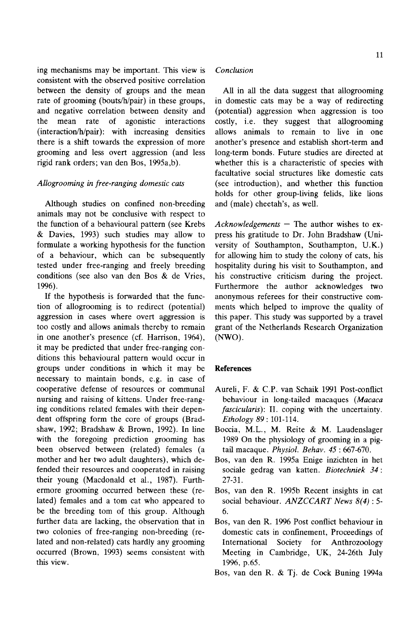ing mechanisms may be important. This view is consistent with the observed positive correlation between the density of groups and the mean rate of grooming (bouts/h/pair) in these groups, and negative correlation between density and the mean rate of agonistic interactions (interaction/h/pair): with increasing densities there is a shift towards the expression of more grooming and less overt aggression (and less rigid rank orders; van den Bos, 1995a,b).

# *Allogrooming in free-ranging domestic cats*

Although studies on confined non-breeding animals may not be conclusive with respect to the function of a behavioural pattern (see Krebs & Davies, 1993) such studies may allow to formulate a working hypothesis for the function of a behaviour, which can be subsequently tested under free-ranging and freely breeding conditions (see also van den Bos & de Vries, 1996).

ff the hypothesis is forwarded that the function of allogrooming is to redirect (potential) aggression in cases where overt aggression is too costly and allows animals thereby to remain in one another's presence (cf. Harrison, 1964), it may be predicted that under free-ranging conditions this behavioural pattern would occur in groups under conditions in which it may be necessary to maintain bonds, e.g. in case of cooperative defense of resources or communal nursing and raising of kittens. Under free-ranging conditions related females with their dependent offspring form the core of groups (Bradshaw, 1992; Bradshaw & Brown, 1992). In line with the foregoing prediction grooming has been observed between (related) females (a mother and her two adult daughters), which defended their resources and cooperated in raising their young (Macdonald et al., 1987). Furthermore grooming occurred between these (related) females and a tom cat who appeared to be the breeding tom of this group. Although further data are lacking, the observation that in two colonies of free-ranging non-breeding (related and non-related) cats hardly any grooming occurred (Brown, 1993) seems consistent with this view.

# *Conclusion*

All in all the data suggest that allogrooming in domestic cats may be a way of redirecting (potential) aggression when aggression is too costly, i.e. they suggest that allogrooming allows animals to remain to live in one another's presence and establish short-term and long-term bonds. Future studies are directed at whether this is a characteristic of species with facultative social structures like domestic cats (see introduction), and whether this function holds for other group-living felids, like lions and (male) cheetah's, as well.

*Acknowledgements - The* author wishes to express his gratitude to Dr. John Bradshaw (University of Southampton, Southampton, U.K.) for allowing him to study the colony of cats, his hospitality during his visit to Southampton, and his constructive criticism during the project. Furthermore the author acknowledges two anonymous referees for their constructive comments which helped to improve the quality of this paper. This study was supported by a travel grant of the Netherlands Research Organization (NWO).

# **References**

- Aureli, F. & C.P. van Schaik 1991 Post-conflict behaviour in long-tailed macaques *(Macaca fascicularis*): II. coping with the uncertainty. *Ethology 89:* 101-114.
- Boccia, M.L., M. Reite & M. Laudenslager 1989 On the physiology of grooming in a pigtail macaque. *Physiol. Behav. 45* : 667-670.
- Bos, van den R. 1995a Enige inzichten in het sociale gedrag van katten. *Biotechniek 34:*  27-31.
- Bos, van den R. 1995b Recent insights in cat social behaviour. *ANZCCART News 8(4):5- 6.*
- Bos, van den R. 1996 Post conflict behaviour in domestic cats in confinement, Proceedings of International Society for Anthrozoology Meeting in Cambridge, UK, 24-26th July 1996, p.65.
- Bos, van den R. & Tj. de Cock Buning 1994a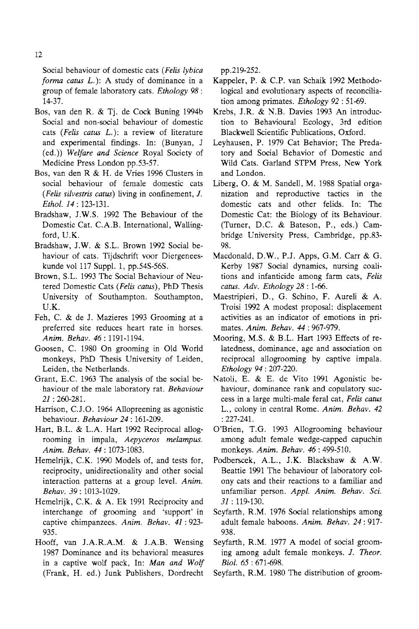Social behaviour of domestic cats *(Fells lybica forma catus* L.): A study of dominance in a group of female laboratory cats. *Ethology 98 :*  14-37.

- Bos, van den R. & Tj. de Cock Buning 1994b Social and non-social behaviour of domestic cats *(Fells cams* L.): a review of literature and experimental findings. In: (Bunyan, J (ed.)) *Welfare and Science* Royal Society of Medicine Press London pp.53-57.
- Bos, van den R & H. de Vries 1996 Clusters in social behaviour of female domestic cats *(Felis silvestris catus)* living in confinement, *J. Ethol. 14:* 123-131.
- Bradshaw, J.W.S. 1992 The Behaviour of the Domestic Cat. C.A.B. International, Wallingford, U.K.
- Bradshaw, J.W. & S.L. Brown 1992 Social behaviour of cats. Tijdschrift voor Diergeneeskunde vol 117 Suppl. 1, pp.54S-56S.
- Brown, S.L. 1993 The Social Behaviour of Neutered Domestic Cats *(Felis catus),* PhD Thesis University of Southampton. Southampton, U.K.
- Feh, C. & de J. Mazieres 1993 Grooming at a preferred site reduces heart rate in horses. *Anim. Behav.* 46: 1191-1194.
- Goosen, C. 1980 On grooming in Old World monkeys, PhD Thesis University of Leiden, Leiden, the Netherlands.
- Grant, E.C. 1963 The analysis of the social behaviour of the male laboratory rat. *Behaviour 21* : 260-281.
- Harrison, C.J.O. 1964 Allopreening as agonistic behaviour. *Behaviour 24:* 161-209.
- Hart, B.L. & L.A. Hart 1992 Reciprocal allogrooming in impala, *Aepyceros melampus. Anita. Behav.* 44: 1073-1083.
- Hemelrijk, C.K. 1990 Models of, and tests for, reciprocity, unidirectionality and other social interaction patterns at a group level. Anim. *Behav.* 39:1013-1029.
- Hemelrijk, C.K. & A. Ek 1991 Reciprocity and interchange of grooming and 'support' in captive chimpanzees. Anim. Behav. 41:923-935.
- Hooff, van J.A.R.A.M. & J.A.B. Wensing 1987 Dominance and its behavioral measures in a captive wolf pack, In: *Man and Wolf*  (Frank, H. ed.) Junk Publishers, Dordrecht

pp.219-252.

- Kappeler, P. & C.P. van Schaik 1992 Methodological and evolutionary aspects of reconciliation among primates. *Ethology* 92:51-69.
- Krebs, J.R. & N.B. Davies 1993 An introduction to Behavioural Ecology, 3rd edition Blackwell Scientific Publications, Oxford.
- Leyhausen, P. 1979 Cat Behavior; The Predatory and Social Behavior of Domestic and Wild Cats. Garland STPM Press, New York and London.
- Liberg, O. & M. Sandell, M. 1988 Spatial organization and reproductive tactics in the domestic cats and other felids. In: The Domestic Cat: the Biology of its Behaviour. (Turner, D.C. & Bateson, P., eds.) Cambridge University Press, Cambridge, pp.83- 98.
- Macdonald, D.W., P.J. Apps, G.M. Carr & G. Kerby 1987 Social dynamics, nursing coalitions and infanticide among farm cats, *Felis catus. Adv. Ethology 28: 1-66.*
- Maestripieri, D., G. Schino, F. Aureli & A. Troisi 1992 A modest proposal: displacement activities as an indicator of emotions in primates. *Anim. Behav.* 44: 967-979.
- Mooring, M.S. & B.L. Hart 1993 Effects of relatedness, dominance, age and association on reciprocal allogrooming by captive impala. *Ethology* 94:207-220.
- Natoli, E. & E. de Vito 1991 Agonistic behaviour, dominance rank and copulatory success in a large multi-male feral cat, *Felis catus*  L., colony in central Rome. *Anim. Behav. 42*  :227-241.
- O'Brien, T.G. 1993 Allogrooming behaviour among adult female wedge-capped capuchin monkeys. *Anita. Behav.* 46 : 499-510.
- Podberscek, A.L., J.K. Blackshaw & A.W. Beattie 1991 The behaviour of laboratory colony cats and their reactions to a familiar and unfamiliar person. Appl. Anim. Behav. Sci. *31:119-130.*
- Seyfarth, R.M. 1976 Social relationships among adult female baboons. *Anim. Behav.* 24:917- 938.
- Seyfarth, R.M. 1977 A model of social grooming among adult female monkeys. *J. Theor. Biol. 65:671-698.*
- Seyfarth, R.M. 1980 The distribution of groom-